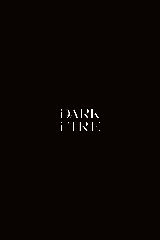# **DARK** FIRE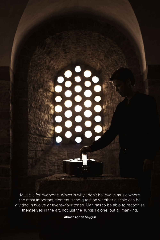

**Ahmet Adnan Saygun**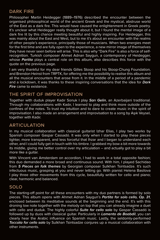#### DARK FIRE

Philosopher Martin Heidegger (1889–1976) described the encounter between the organised philosophical world of the ancient Greek and the mystical, abstruse world of the East as a dark fire. This would have caused the enlightenment in Greek poetry. It's unclear what Heidegger really thought about it, but I found the mental image of a dark fire lit by this chance meeting beautiful and highly inspiring. For Heidegger, this was mainly about the East and West, but to me it's about an encounter with the realms of other people's experience, principally those of musicians. When two energies meet for the first time and are fully open to the experience, a new mirror image of themselves they have never seen before will arise. This is also why "Dark Fire" is also a force of selfrecognition. Turkish composer Ahmet Adnan Saygun, a contemporary of Heidegger, whose *Partita* plays a central role on this album, also describes this force with the quote on the previous page.

I am very thankful for my dear friends Gilles Stoop and his Stoop-Chung Foundation, and Brendon Heinst from TRPTK, for offering me the possibility to realise this album and all the musical encounters that arose from it. In the middle of a period of a pandemic and a lockdown, it was thanks to these inspiring conversations that the idea for *Dark Fire* came to existence.

#### THE SPIRIT OF IMPROVISATION

Together with duduk player Kadır Sonuk I play *Sarı Gelin*, an Azerbaijani traditional. Through my collaborations with Kadır, I learned to play and think more outside of the confines of the notes. To trust my intuition and to dare to create music in the spirit of improvisation. I also made an arrangement and improvisation to a song by Aşık Veysel, together with Kadır.

#### ARTICULATION

In my musical collaboration with classical guitarist Izhar Elias, I play two works by Spanish composer Gaspar Cassadó. It was only when I started to play these pieces lighter, more transparent, and less forceful that Ihzar and I began to understand each other, and I could fully get in touch with his timbre. I grabbed my bow a bit more towards its middle, giving me better control over my articulation – and actually got to play a bit more like a guitar.

With Vincent van Amsterdam on accordion, I had to work in a total opposite fashion; this duo demanded a more broad and continuous sound. With him, I played Sachidao from *5 Pieces on folk themes* by Georgian composer Sulkhan Tsintsadze. It's such infectuous music, grasping at you and never letting go. With pianist Helena Basilova I play three other movements from this cycle, beautifully written for cello and piano; clear, harmonic and balanced.

# SOLO

The starting-off point for all these encounters with my duo partners is formed by solo pieces. This album opens with Ahmet Adnan Saygun's *Partita for solo cello, Op. 31*, enclosed between its meditative sounds at the beginning and the end. It's with this droning low note together with the melody on top that you can already imagine a duet with cello and duduk. The highly colorful *Suite for cello solo* by Gaspar Cassadó is followed up by duos with classical guitar. Particularly in *Lamento de Boabdil*, you can clearly hear the Arabic influence on Spanish music. Lastly, the seldomly-performed *Toccata for cello solo* by Sulkhan Tsintsadze conjures up a musical collaboration with other instruments.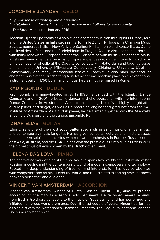# JOACHIM EIJLANDER CELLO

*"... great sense of fantasy and eloquence."*

*"... detailed but informed, instinctive response that allows for spontaneity."*

– The Strad Magazine, January 2016

Joachim Eijlander performs as a soloist and chamber musician throughout Europe, Asia and the United States, in halls such as the Tonhalle Zürich, Philadelphia Chamber Music Society, numerous halls in New York, the Berliner Philharmonie and Konzerthaus, Dôme des Invalides in Paris, and the Rudolphinum in Prague. As a soloist, Joachim performed with many renowned European orchestras. Connecting with music with dancers, visual artists and even scientists, he aims to inspire audiences with wider interests. Joachim is principal teacher of cello at the Codarts conservatory in Rotterdam and taught classes at the Indiana University, Milwaukee Conservatory, Oklahoma University, Ljubljana Conservatory and many international festivals. Joachim is also main professor of chamber music at the Dutch String Quartet Academy. Joachim plays on an exceptional instrument built in 1750 by an anonymous Tyrolean luthier based in Rome.

# KADIR SONUK DUDUK

Kadır Sonuk is a many-faceted artist. In 1996 he danced with the Istanbul Dance Company, and in 2001 he became dancer and choreographer with the International Dance Company in Amsterdam. Aside from dancing, Kadır is a highly sought-after duduk player and singer, as well as a recording engineering graduate from the SAE Institute of Amsterdam. As a duduk player, he performed together with the Allerwelts Ensemble Duisburg and the Junges Ensemble Ruhr.

# IZHAR ELIAS GUITAR

Izhar Elias is one of the most sought-after specialists in early music, chamber music, and contemporary music for guitar. He has given concerts, lectures and masterclasses, and has been soloist in concertos with renowned orchestras in Europe, Russia, southeast Asia, Australia, and the USA. He has won the prestigious Dutch Music Prize in 2011, the highest musical award given by the Dutch government.

# HELENA BASILOVA PIANO

The captivating work of pianist Helena Basilova spans two worlds: the vast world of her Russian ancestry, and the contemporary world of modern composers and technology. Rooted in a deep understanding of tradition and interpretation, Basilova collaborates with composers and artists all over the world, and is dedicated to finding new interfaces between performer and audience.

#### VINCENT VAN AMSTERDAM ACCORDION

Vincent van Amsterdam, winner of Dutch Classical Talent 2016, aims to put the accordion on the map as a serious solo instrument. He recorded several albums, from Bach's Goldberg variations to the music of Gubaidulina, and has performed and initiated numerous world premieres. Over the last couple of years, Vincent performed as a soloist with the Netherlands Chamber Orchestra, The Hague Philharmonic, and the Bochumer Symphoniker.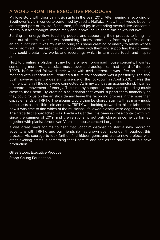#### A WORD FROM THE EXECUTIVE PRODUCER

My love story with classical music starts in the year 2012. After hearing a recording of Beethoven's violin concerto performed by Jascha Heifetz, I knew that it would become an integral part of my life. Since then, I found joy in attending several live concerts a month, but also thought immediately about how I could share this newfound love.

Starting an energy flow, touching people and supporting their process to bring the best out of themselves: It was something I knew profoundly from my profession as an acupuncturist. It was my aim to bring this same creating of energy to artists whose work I admired. I realised that by collaborating with them and supporting their dreams, they could create new works and recordings which in turn could touch and inspire audiences.

Next to creating a platform at my home where I organised house concerts, I wanted something more. As a classical music lover and audiophile, I had heard of the label TRPTK before and followed their work with avid interest. It was after an inspiring meeting with Brendon that I realised a future collaboration was a possibility. The final push however was the deafening silence of the lockdown in April 2020. It was this moment when all the dots were connected: As in my work as an acupuncturist, I wanted to create a movement of energy. This time by supporting musicians spreading music close to their heart. By creating a foundation that would support them financially so they could focus on the artistic side and leave the recording process in the more than capable hands of TRPTK. The albums would then be shared again with as many music enthusiasts as possible - old and new. TRPTK was looking forward to this collaboration, now it was time to find which of the musicians I followed closely were eager to record. The first artist I approached was Joachim Eijlander. I've been in close contact with him since the summer of 2019, and the relationship got only closer since he performed together with pianist Jeroen van Veen in a house concert I organised.

It was great news for me to hear that Joachim decided to start a new recording adventure with TRPTK, and our friendship has grown even stronger throughout this process. His courage to look further, find hidden gems and create new projects with other exciting artists is something that I admire and see as the strength in this new production.

Gilles Stoop, Executive Producer Stoop-Chung Foundation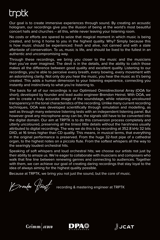# trptk

Our goal is to create immersive experiences through sound. By creating an acoustic hologram, our recordings give you the illusion of being at the world's most beautiful concert halls and churches – all this, while never leaving your listening room.

No costs or efforts are spared to seize that magical moment in which music is being created, and bring it home to you in the highest quality. Why? Simply because this is how music should be experienced: fresh and alive, not canned and with a stale aftertaste of conservation. To us, music is life, and should be lived to the fullest in an authentic and uncompromising way.

Through these recordings, we bring you closer to the music and the musicians than you've ever imagined. The devil is in the details, and the ability to catch those makes all the difference between good quality and excellent quality. Listening to our recordings, you're able to perceive every breath, every bowing, every movement with an astonishing clarity. Not only do you hear the music, you hear the music as it's being created. This adds a human dimension to your listening experience, connecting you instantly and instinctively to what you're listening to.

The basis for all of our recordings is our Optimised Omnidirectional Array (OOA for short), developed by founder and lead audio engineer Brendon Heinst. With OOA, we aim to create a truly accurate image of the soundstage, while retaining uncoloured transparency in the tonal characteristics of the recording. Unlike many current recording techniques, OOA was developed scientifically through simulation and modelling, as well as through many extensive listening tests with an independent listening panel. But however great any microphone array can be, the signals still have to be converted into the digital domain. Our aim at TRPTK is to do this conversion process completely and utterly uncoloured, preserving all the tiniest little details without the harshness usually attributed to digital recordings. The way we do this is by recording at 352.8 kHz 32 bits DXD, at 16 times higher than CD quality. This means, in musical terms, that everything in the original performance is preserved. From the huge 32-foot pipe of a cathedral organ, to the highest notes on a piccolo flute. From the softest whispers all the way to the searingly loudest orchestral hits.

Speaking of soft whispers and loud orchestral hits; we choose our artists not just by their ability to amaze us. We're eager to collaborate with musicians and composers who walk that fine line between renewing genres and connecting to audiences. Together with them, we can achieve our goal of creating daring recordings that stay loyal to the idea of always aiming for the highest quality possible.

Because at TRPTK, we bring you not just the sound, but the core of music.

Frendon (feing)<br>recording & mastering engineer at TRPTK

 $Grimm$  *AUDIO* 



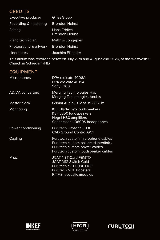#### **CREDITS**

| Executive producer    | <b>Gilles Stoop</b>                          |
|-----------------------|----------------------------------------------|
| Recording & mastering | <b>Brendon Heinst</b>                        |
| Editing               | <b>Hans Erblich</b><br><b>Brendon Heinst</b> |
| Piano technician      | <b>Matthijs Jongepier</b>                    |
| Photography & artwork | <b>Brendon Heinst</b>                        |
| Liner notes           | Joachim Eijlander                            |

This album was recorded between July 27th and August 2nd 2020, at the Westvest90 Church in Schiedam (NL).

# EQUIPMENT

| Microphones             | DPA d:dicate 4006A<br>DPA d:dicate 4015A<br>Sony C100                                                                                           |
|-------------------------|-------------------------------------------------------------------------------------------------------------------------------------------------|
| <b>AD/DA converters</b> | Merging Technologies Hapi<br>Merging Technologies Anubis                                                                                        |
| Master clock            | Grimm Audio CC2 at 352.8 kHz                                                                                                                    |
| Monitoring              | <b>KEF Blade Two loudspeakers</b><br><b>KEF LS50 loudspeakers</b><br>Hegel H30 amplifiers<br>Sennheiser HD800S headphones                       |
| Power conditioning      | <b>Furutech Daytona 303E</b><br><b>CAD Ground Control GC1</b>                                                                                   |
| Cabling                 | Furutech custom microphone cables<br>Furutech custom balanced interlinks<br>Furutech custom power cables<br>Furutech custom loudspeaker cables  |
| Misc.                   | <b>JCAT NET Card FEMTO</b><br><b>JCAT M12 Switch Gold</b><br>Furutech e-TP609E NCF<br><b>Furutech NCF Boosters</b><br>R.T.F.S. acoustic modules |